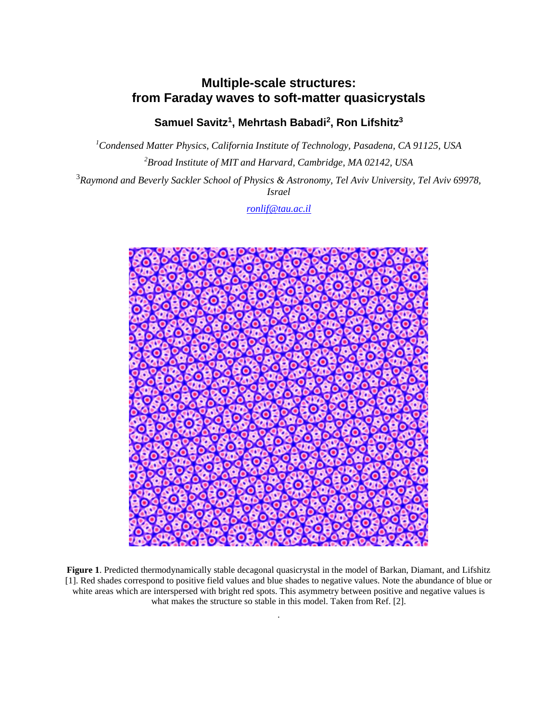## **Multiple-scale structures: from Faraday waves to soft-matter quasicrystals**

**Samuel Savitz<sup>1</sup> , Mehrtash Babadi<sup>2</sup> , Ron Lifshitz<sup>3</sup>**

*<sup>1</sup>Condensed Matter Physics, California Institute of Technology, Pasadena, CA 91125, USA <sup>2</sup>Broad Institute of MIT and Harvard, Cambridge, MA 02142, USA*

<sup>3</sup>*Raymond and Beverly Sackler School of Physics & Astronomy, Tel Aviv University, Tel Aviv 69978, Israel*

*[ronlif@tau.ac.il](mailto:ronlif@tau.ac.il)*



**Figure 1**. Predicted thermodynamically stable decagonal quasicrystal in the model of Barkan, Diamant, and Lifshitz [1]. Red shades correspond to positive field values and blue shades to negative values. Note the abundance of blue or white areas which are interspersed with bright red spots. This asymmetry between positive and negative values is what makes the structure so stable in this model. Taken from Ref. [2].

.